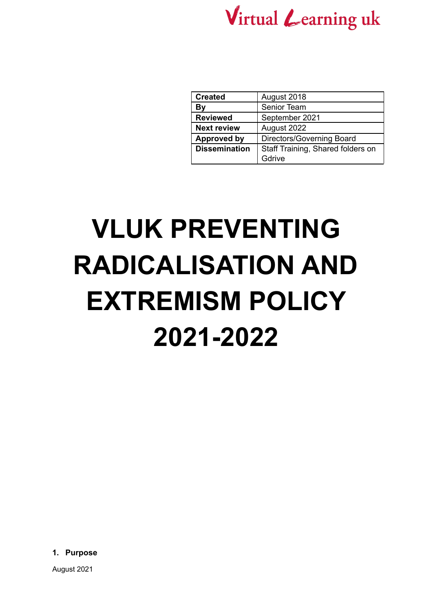

| <b>Created</b>       | August 2018                       |
|----------------------|-----------------------------------|
| Βy                   | Senior Team                       |
| <b>Reviewed</b>      | September 2021                    |
| <b>Next review</b>   | August 2022                       |
| <b>Approved by</b>   | Directors/Governing Board         |
| <b>Dissemination</b> | Staff Training, Shared folders on |
|                      | Gdrive                            |

# **VLUK PREVENTING RADICALISATION AND EXTREMISM POLICY 2021-2022**

**1. Purpose**

August 2021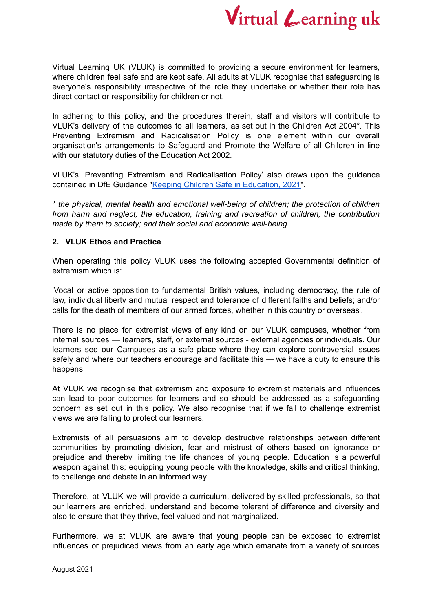

Virtual Learning UK (VLUK) is committed to providing a secure environment for learners, where children feel safe and are kept safe. All adults at VLUK recognise that safeguarding is everyone's responsibility irrespective of the role they undertake or whether their role has direct contact or responsibility for children or not.

In adhering to this policy, and the procedures therein, staff and visitors will contribute to VLUK's delivery of the outcomes to all learners, as set out in the Children Act 2004\*. This Preventing Extremism and Radicalisation Policy is one element within our overall organisation's arrangements to Safeguard and Promote the Welfare of all Children in line with our statutory duties of the Education Act 2002.

VLUK's 'Preventing Extremism and Radicalisation Policy' also draws upon the guidance contained in DfE Guidance "Keeping Children Safe in [Education,](https://assets.publishing.service.gov.uk/government/uploads/system/uploads/attachment_data/file/1007260/Keeping_children_safe_in_education_2021.pdf) 2021".

*\* the physical, mental health and emotional well-being of children; the protection of children from harm and neglect; the education, training and recreation of children; the contribution made by them to society; and their social and economic well-being.*

### **2. VLUK Ethos and Practice**

When operating this policy VLUK uses the following accepted Governmental definition of extremism which is:

'Vocal or active opposition to fundamental British values, including democracy, the rule of law, individual liberty and mutual respect and tolerance of different faiths and beliefs; and/or calls for the death of members of our armed forces, whether in this country or overseas'.

There is no place for extremist views of any kind on our VLUK campuses, whether from internal sources — learners, staff, or external sources - external agencies or individuals. Our learners see our Campuses as a safe place where they can explore controversial issues safely and where our teachers encourage and facilitate this — we have a duty to ensure this happens.

At VLUK we recognise that extremism and exposure to extremist materials and influences can lead to poor outcomes for learners and so should be addressed as a safeguarding concern as set out in this policy. We also recognise that if we fail to challenge extremist views we are failing to protect our learners.

Extremists of all persuasions aim to develop destructive relationships between different communities by promoting division, fear and mistrust of others based on ignorance or prejudice and thereby limiting the life chances of young people. Education is a powerful weapon against this; equipping young people with the knowledge, skills and critical thinking, to challenge and debate in an informed way.

Therefore, at VLUK we will provide a curriculum, delivered by skilled professionals, so that our learners are enriched, understand and become tolerant of difference and diversity and also to ensure that they thrive, feel valued and not marginalized.

Furthermore, we at VLUK are aware that young people can be exposed to extremist influences or prejudiced views from an early age which emanate from a variety of sources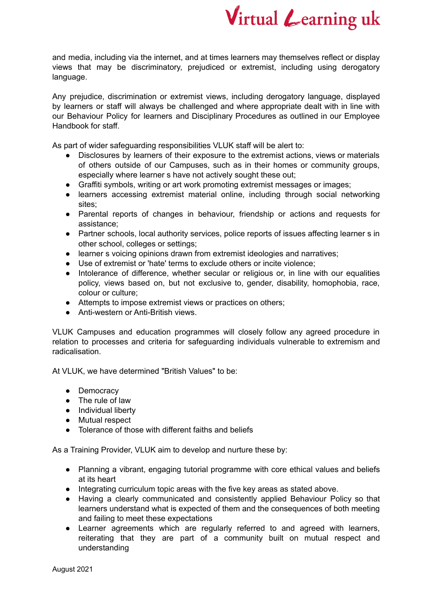

and media, including via the internet, and at times learners may themselves reflect or display views that may be discriminatory, prejudiced or extremist, including using derogatory language.

Any prejudice, discrimination or extremist views, including derogatory language, displayed by learners or staff will always be challenged and where appropriate dealt with in line with our Behaviour Policy for learners and Disciplinary Procedures as outlined in our Employee Handbook for staff.

As part of wider safeguarding responsibilities VLUK staff will be alert to:

- Disclosures by learners of their exposure to the extremist actions, views or materials of others outside of our Campuses, such as in their homes or community groups, especially where learner s have not actively sought these out;
- Graffiti symbols, writing or art work promoting extremist messages or images;
- learners accessing extremist material online, including through social networking sites:
- Parental reports of changes in behaviour, friendship or actions and requests for assistance;
- Partner schools, local authority services, police reports of issues affecting learner s in other school, colleges or settings;
- learner s voicing opinions drawn from extremist ideologies and narratives;
- Use of extremist or 'hate' terms to exclude others or incite violence;
- Intolerance of difference, whether secular or religious or, in line with our equalities policy, views based on, but not exclusive to, gender, disability, homophobia, race, colour or culture;
- Attempts to impose extremist views or practices on others;
- Anti-western or Anti-British views.

VLUK Campuses and education programmes will closely follow any agreed procedure in relation to processes and criteria for safeguarding individuals vulnerable to extremism and radicalisation.

At VLUK, we have determined "British Values" to be:

- Democracy
- The rule of law
- Individual liberty
- Mutual respect
- Tolerance of those with different faiths and beliefs

As a Training Provider, VLUK aim to develop and nurture these by:

- Planning a vibrant, engaging tutorial programme with core ethical values and beliefs at its heart
- Integrating curriculum topic areas with the five key areas as stated above.
- Having a clearly communicated and consistently applied Behaviour Policy so that learners understand what is expected of them and the consequences of both meeting and failing to meet these expectations
- Learner agreements which are regularly referred to and agreed with learners, reiterating that they are part of a community built on mutual respect and understanding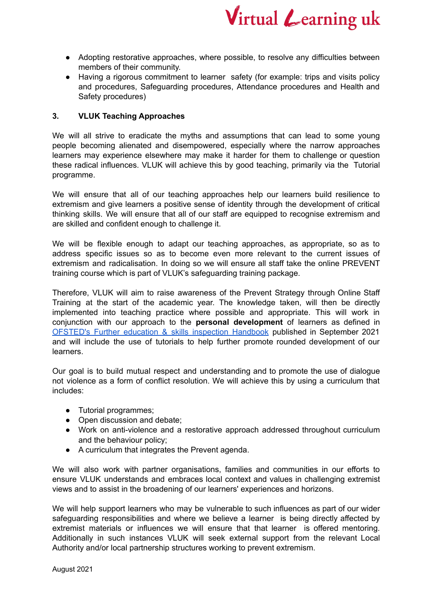

- Adopting restorative approaches, where possible, to resolve any difficulties between members of their community.
- Having a rigorous commitment to learner safety (for example: trips and visits policy and procedures, Safeguarding procedures, Attendance procedures and Health and Safety procedures)

### **3. VLUK Teaching Approaches**

We will all strive to eradicate the myths and assumptions that can lead to some young people becoming alienated and disempowered, especially where the narrow approaches learners may experience elsewhere may make it harder for them to challenge or question these radical influences. VLUK will achieve this by good teaching, primarily via the Tutorial programme.

We will ensure that all of our teaching approaches help our learners build resilience to extremism and give learners a positive sense of identity through the development of critical thinking skills. We will ensure that all of our staff are equipped to recognise extremism and are skilled and confident enough to challenge it.

We will be flexible enough to adapt our teaching approaches, as appropriate, so as to address specific issues so as to become even more relevant to the current issues of extremism and radicalisation. In doing so we will ensure all staff take the online PREVENT training course which is part of VLUK's safeguarding training package.

Therefore, VLUK will aim to raise awareness of the Prevent Strategy through Online Staff Training at the start of the academic year. The knowledge taken, will then be directly implemented into teaching practice where possible and appropriate. This will work in conjunction with our approach to the **personal development** of learners as defined in [OFSTED's](https://www.gov.uk/government/publications/further-education-and-skills-inspection-handbook-eif/further-education-and-skills-handbook-for-september-2021) Further education & skills inspection Handbook published in September 2021 and will include the use of tutorials to help further promote rounded development of our learners.

Our goal is to build mutual respect and understanding and to promote the use of dialogue not violence as a form of conflict resolution. We will achieve this by using a curriculum that includes:

- Tutorial programmes;
- Open discussion and debate;
- Work on anti-violence and a restorative approach addressed throughout curriculum and the behaviour policy;
- A curriculum that integrates the Prevent agenda.

We will also work with partner organisations, families and communities in our efforts to ensure VLUK understands and embraces local context and values in challenging extremist views and to assist in the broadening of our learners' experiences and horizons.

We will help support learners who may be vulnerable to such influences as part of our wider safeguarding responsibilities and where we believe a learner is being directly affected by extremist materials or influences we will ensure that that learner is offered mentoring. Additionally in such instances VLUK will seek external support from the relevant Local Authority and/or local partnership structures working to prevent extremism.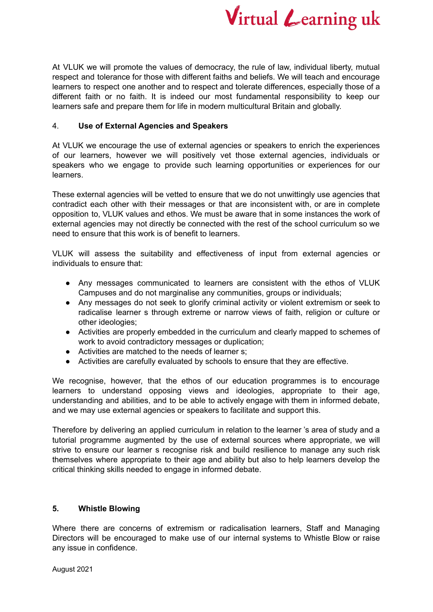

At VLUK we will promote the values of democracy, the rule of law, individual liberty, mutual respect and tolerance for those with different faiths and beliefs. We will teach and encourage learners to respect one another and to respect and tolerate differences, especially those of a different faith or no faith. It is indeed our most fundamental responsibility to keep our learners safe and prepare them for life in modern multicultural Britain and globally.

## 4. **Use of External Agencies and Speakers**

At VLUK we encourage the use of external agencies or speakers to enrich the experiences of our learners, however we will positively vet those external agencies, individuals or speakers who we engage to provide such learning opportunities or experiences for our learners.

These external agencies will be vetted to ensure that we do not unwittingly use agencies that contradict each other with their messages or that are inconsistent with, or are in complete opposition to, VLUK values and ethos. We must be aware that in some instances the work of external agencies may not directly be connected with the rest of the school curriculum so we need to ensure that this work is of benefit to learners.

VLUK will assess the suitability and effectiveness of input from external agencies or individuals to ensure that:

- Any messages communicated to learners are consistent with the ethos of VLUK Campuses and do not marginalise any communities, groups or individuals;
- Any messages do not seek to glorify criminal activity or violent extremism or seek to radicalise learner s through extreme or narrow views of faith, religion or culture or other ideologies;
- Activities are properly embedded in the curriculum and clearly mapped to schemes of work to avoid contradictory messages or duplication;
- Activities are matched to the needs of learner s;
- Activities are carefully evaluated by schools to ensure that they are effective.

We recognise, however, that the ethos of our education programmes is to encourage learners to understand opposing views and ideologies, appropriate to their age, understanding and abilities, and to be able to actively engage with them in informed debate, and we may use external agencies or speakers to facilitate and support this.

Therefore by delivering an applied curriculum in relation to the learner 's area of study and a tutorial programme augmented by the use of external sources where appropriate, we will strive to ensure our learner s recognise risk and build resilience to manage any such risk themselves where appropriate to their age and ability but also to help learners develop the critical thinking skills needed to engage in informed debate.

## **5. Whistle Blowing**

Where there are concerns of extremism or radicalisation learners, Staff and Managing Directors will be encouraged to make use of our internal systems to Whistle Blow or raise any issue in confidence.

August 2021